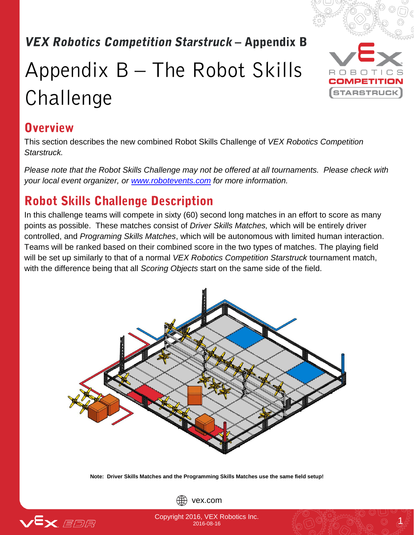# **VEX Robotics Competition Starstruck – Appendix B**

# Appendix  $B$  – The Robot Skills Challenge



#### **Overview**

This section describes the new combined Robot Skills Challenge of *VEX Robotics Competition Starstruck.*

*Please note that the Robot Skills Challenge may not be offered at all tournaments. Please check with your local event organizer, or [www.robotevents.com](http://www.robotevents.com/) for more information.*

## **Robot Skills Challenge Description**

In this challenge teams will compete in sixty (60) second long matches in an effort to score as many points as possible. These matches consist of *Driver Skills Matches,* which will be entirely driver controlled, and *Programing Skills Matches*, which will be autonomous with limited human interaction. Teams will be ranked based on their combined score in the two types of matches. The playing field will be set up similarly to that of a normal *VEX Robotics Competition Starstruck* tournament match, with the difference being that all *Scoring Objects* start on the same side of the field.



**Note: Driver Skills Matches and the Programming Skills Matches use the same field setup!**



vex.com

Copyright 2016, VEX Robotics Inc. **10, VEA RODOLICS INC.**<br>2016-08-16 2016-08-16 2017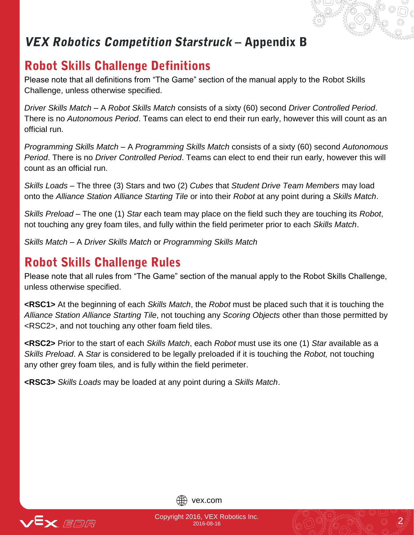## VEX Robotics Competition Starstruck - Appendix B

### **Robot Skills Challenge Definitions**

Please note that all definitions from "The Game" section of the manual apply to the Robot Skills Challenge, unless otherwise specified.

*Driver Skills Match –* A *Robot Skills Match* consists of a sixty (60) second *Driver Controlled Period*. There is no *Autonomous Period*. Teams can elect to end their run early, however this will count as an official run.

*Programming Skills Match –* A *Programming Skills Match* consists of a sixty (60) second *Autonomous Period*. There is no *Driver Controlled Period*. Teams can elect to end their run early, however this will count as an official run.

*Skills Loads* – The three (3) Stars and two (2) *Cubes* that *Student Drive Team Members* may load onto the *Alliance Station Alliance Starting Tile* or into their *Robot* at any point during a *Skills Match*.

*Skills Preload* – The one (1) *Star* each team may place on the field such they are touching its *Robot*, not touching any grey foam tiles, and fully within the field perimeter prior to each *Skills Match*.

*Skills Match* – A *Driver Skills Match* or *Programming Skills Match*

### **Robot Skills Challenge Rules**

Please note that all rules from "The Game" section of the manual apply to the Robot Skills Challenge, unless otherwise specified.

**<RSC1>** At the beginning of each *Skills Match*, the *Robot* must be placed such that it is touching the *Alliance Station Alliance Starting Tile*, not touching any *Scoring Objects* other than those permitted by <RSC2>, and not touching any other foam field tiles.

**<RSC2>** Prior to the start of each *Skills Match*, each *Robot* must use its one (1) *Star* available as a *Skills Preload*. A *Star* is considered to be legally preloaded if it is touching the *Robot,* not touching any other grey foam tiles*,* and is fully within the field perimeter.

**<RSC3>** *Skills Loads* may be loaded at any point during a *Skills Match*.